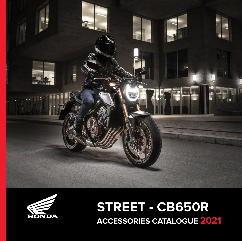



# **STREET - CB650R ACCESSORIES CATALOGUE 2021**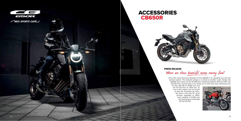

**THEO SPORTS CAFÉ** 

*One of the most distinctive attributes of the CB650R is its swooping four-into-one exhaust system. This beautiful design is a tribute to another iconic Honda: the CB400F also known as the CB 400 Four. Produced between 1975 and 1977, the CB 400 Four caused quite a stir thanks to its café racer look. Delivering only* 

*37 bhp (28 kW) at 8,500 rpm and 24 lb⋅ft (33 N⋅m) at 7,500 rpm, its four-in-line engine was not meant to take the racetracks by storm. Yet, back in the late 70', some versions upgraded to 492cc were capable of 13,500 rpm and producing an estimated 60 bhp (45 kW).*



### **ACCESSORIES CB650R**



# **PRESS RELEASE**

Where are these beautiful curves coming from?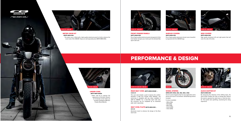#### **QUICK SHIFTER KIT 08U72-MKN-D50**

By measuring the intensity of the shifting input, the quick shifter enables the rider to change gear without the need to operate the clutch lever or shut the throttle. The system aids upshifting, maximizing the riding experience.

#### **WHEEL STRIPES 08F84-MFJ-810A, 20A, 30A, 40A or 50A**

Set of 3 round-shaped strips for easy application and a perfect fit on two 17-inch wheels. Honda Racing stickers

included. 5 colours available:

- White (10A) • Red (20A) • Blue (30A)
- Green (40A)
- Silver (50A)



### **FRONT FENDER PANELS 08F73-MKN-D50**

Pair of high-quality aluminium panels designed to fit the front fender and give your motorcycle the ultimate Neo Sport Cafe look.

#### **SIDE COVERS 08F75-MKN-D50**

High quality aluminium left and right panels that will cover the side of the bike.

### **SHROUD COVERS 08F74-MKN-D50**

Pair of high-quality aluminium shroud covers beautifully engraved with the CB650R logo.

#### **METER VISOR KIT 08R70-MKN-D50**

The meter visor is fitted with a high-quality aluminium panel to further enhance the iconic look of the CB650R. Stays are sold separately (see 08R74-MKN-D50).



**UNDER COWL 08F71-MKN-D50ZA**

> Under cowl kit to improve the appearance of the bike. All parts to fit directly to the frame are included. Available in Mat Gun Powder Black Metallic.



**REAR SEAT COWL 08F72-MKN-D50ZB ... €200.00** 

This seat cowl includes a pad to improve the comfort. Available in Mat Gun Powder Black Metallic, this acces-sory it compliant with any colour available in 2019 for CB650R. For a total Neo Sport Cafe look. this accessory can be completed by an aluminium plate (sold separately).

#### **SEAT COWL PLATE 08F76-MKN-D50 ... €81.00**

Aluminium insert to enhance the design of the Rear Seat Cowl.

**PERFORMANCE & DESIGN**







**€179.00 €160.00**





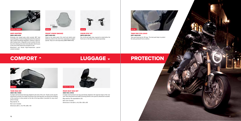#### **REAR SEAT BAG SET 08ESY-MKJ-STB18**

A simple and functional rear bag specifically adapted to the tapered shape of the rear seat. Easy attachment and stable mounting thanks to the specific attachment included.

Bag capacity: 15L expandable to 22L Rain cover included. Dimensions in mm (W x L x H): 355 x 365 x 243



#### **GRIP HEATERS 08ESY-MKN-HG19**

Extremely slim heated grips which provide 360° heat around the grips. Features integrated control for maximum rider comfort and design integration. Features 3-step variable heating levels, integrated circuit to protect the battery from draining and smart heat allocation that focuses on the area of the hands most sensitive to cold.

Attachment and Honda High-Temperature special cement included.

#### **VISOR STAY KIT 08R74-MKN-D50**

Pair of left and right stays required to install either the front visor or the meter visor (sold separately).



#### **FRONT VISOR (SMOKE) 08R71-MKN-D50**

Fitted to the meter panel, this small and stylish wind deflector protects the chest from wind blasts at higher speeds. Stays are sold separately (08R74-MKN-D50).

#### **TANK BAG SET 08ESY-MKJ-TKB18**

A simple and functional tank bag adapted to the tank of the unit. Thanks to the specific attachment included, the stable mounting of the tank bag does not disturb the handling of this machine. A clear pocket on the top of the bag makes it possible for easy smart phone storage.

Bag capacity: 3L

Rain cover included.

Dimensions (W x L x H): 178 x 285 x 130

**TANK PAD (CB LOGO) 08P71-MKN-D50** Tank pad featuring the CB logo. The tank pad helps to protect the tank paintwork from scratches.

## **COMFORT ^ COMERT PROTECTION**











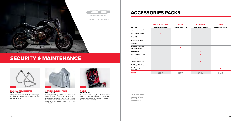### **ACCESSORIES PACKS**

(\*) The rear seat cowl is compatible with all 21YM colours versions: • Mat Gunpowder Black Metallic • Pearl Smoky Gray • Candy Chromosphere Red



## **SECURITY & MAINTENANCE**



**U-LOCK 08M53-MFL-800**

Tamper resistant barrel key U-lock that can be store under the rider seat. (Remark: if AVERTO alarm installed, there is not enough space left for the U-Lock, tool kit and owner's manual).

#### **OUTDOOR CYCLE COVER XL 08P34-BC2-801**

Protects paintwork against U.V. rays. Waterresistant breathable fabric that allows the bike to dry while covered. Rope to tighten the cover to avoid fluttering. Two holes in front lower area for easy introduction of U-lock. Not suitable for bikes with top box and/or panniers installed.



**Contract Contract Contract Contract** 

#### **REAR MAINTENANCE STAND 08M50-MW0-801**

Tilting tubular steel stand that facilitates cleaning and rear wheel maintenance. Lifts the motorcycle by the end of its swingarm.

|                                                   | <b>NEO SPORT CAFÉ</b> | <b>SPORT</b>        | <b>COMFORT</b>       | <b>TRAVEL</b>       |
|---------------------------------------------------|-----------------------|---------------------|----------------------|---------------------|
| <b>CONTENT</b>                                    | 08HME-MKN-NSC19       | 08HME-MKN-SP19      | 08HME-MKY-CO21A      | 08ESY-MKJ-BAG18     |
| <b>Meter Visors with stays</b>                    | $\bullet$             |                     |                      |                     |
| <b>Front Fender Panels</b>                        | ٠                     |                     |                      |                     |
| <b>Shroud Covers</b>                              | $\bullet$             |                     |                      |                     |
| <b>Side Covers Panels</b>                         | ٠                     |                     |                      |                     |
| <b>Under Cowl</b>                                 |                       | $\bullet$           |                      |                     |
| <b>Rear Seat Cowl with</b><br>Aluminium plate (*) |                       | $\bullet$           |                      |                     |
| <b>Quick Shifter</b>                              |                       |                     | $\bullet$            |                     |
| Front Visor with stays                            |                       |                     | $\bullet$            |                     |
| <b>Grip Heaters</b>                               |                       |                     | $\bullet$            |                     |
| <b>CB Design Tank Pad</b>                         |                       |                     | $\bullet$            |                     |
| <b>Tank Bag with attachment</b>                   |                       |                     |                      | $\bullet$           |
| <b>Rear Seat Bag with</b><br>attachment           |                       |                     |                      | ٠                   |
| <b>PRICES</b>                                     | 6577.00<br>€ 500.00   | €686.00<br>€ 510.00 | € ххх.00<br>€ ххх.00 | €203.00<br>€ 170.00 |